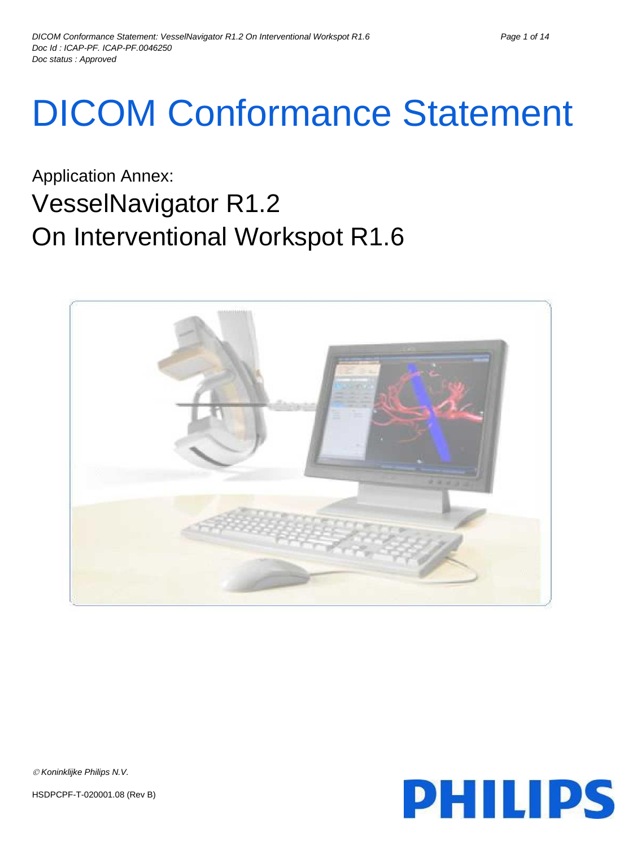# DICOM Conformance Statement

Application Annex: VesselNavigator R1.2 On Interventional Workspot R1.6





 $\oslash$  Koninklijke Philips N.V.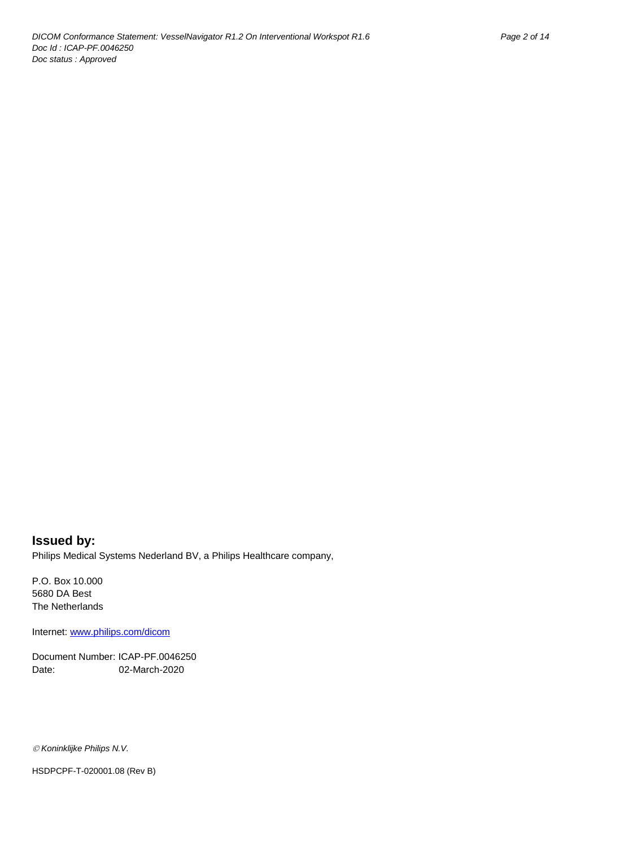# **Issued by:**

Philips Medical Systems Nederland BV, a Philips Healthcare company,

P.O. Box 10.000 5680 DA Best The Netherlands

Internet[: www.philips.com/dicom](www.philips.com/dicom)

Document Number: ICAP-PF.0046250 Date: 02-March-2020

*Koninklijke Philips N.V.*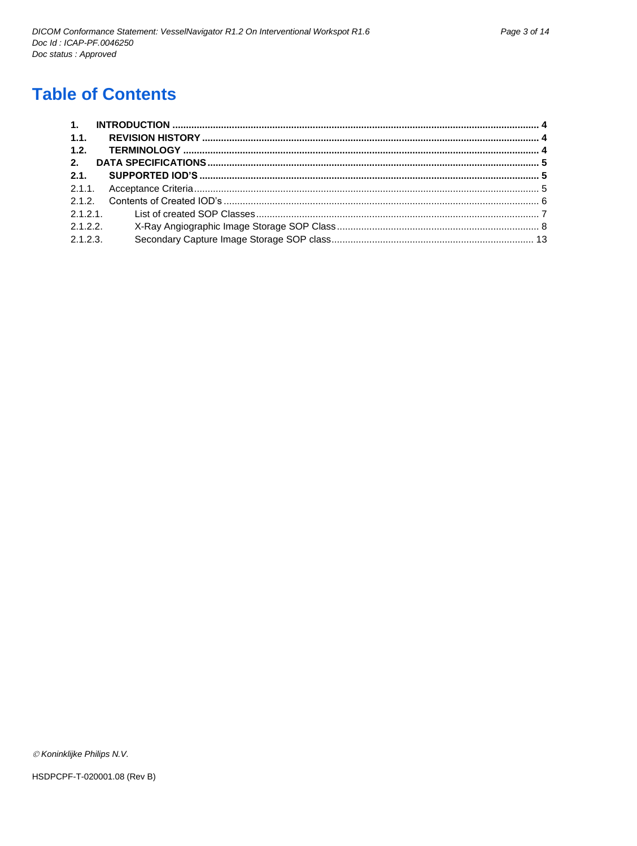# **Table of Contents**

| 1.1.     |         |  |
|----------|---------|--|
| 1.2.     |         |  |
| 2.       |         |  |
| 2.1      |         |  |
|          |         |  |
|          |         |  |
|          |         |  |
|          | 2.1.2.2 |  |
| 2.1.2.3. |         |  |

© Koninklijke Philips N.V.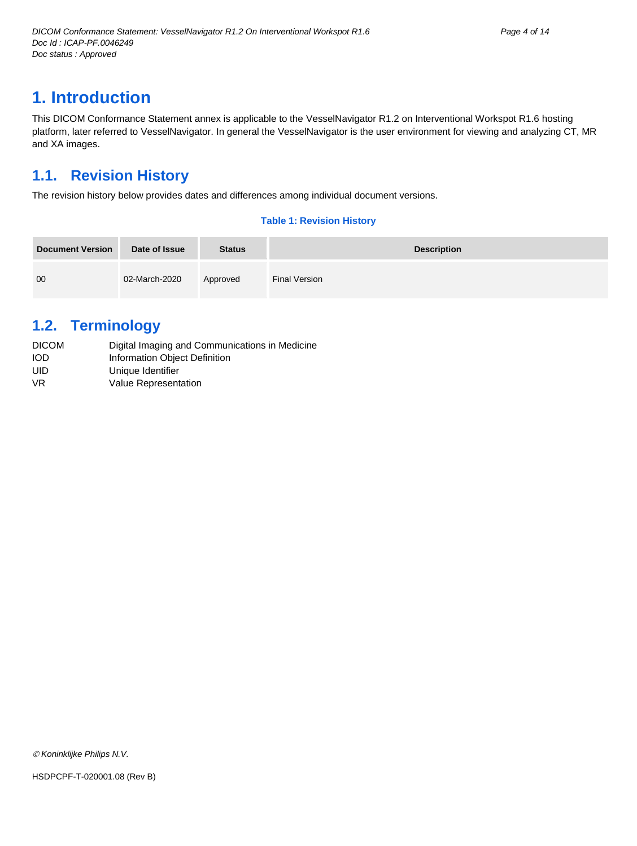# <span id="page-3-0"></span>**1. Introduction**

This DICOM Conformance Statement annex is applicable to the VesselNavigator R1.2 on Interventional Workspot R1.6 hosting platform, later referred to VesselNavigator. In general the VesselNavigator is the user environment for viewing and analyzing CT, MR and XA images.

# <span id="page-3-1"></span>**1.1. Revision History**

The revision history below provides dates and differences among individual document versions.

#### **Table 1: Revision History**

| <b>Document Version</b> | Date of Issue | <b>Status</b> | <b>Description</b> |
|-------------------------|---------------|---------------|--------------------|
| 00                      | 02-March-2020 | Approved      | Final Version      |

# <span id="page-3-2"></span>**1.2. Terminology**

| <b>DICOM</b> | Digital Imaging and Communications in Medicine |
|--------------|------------------------------------------------|
| IOD          | Information Object Definition                  |
| UID          | Unique Identifier                              |
| VR           | Value Representation                           |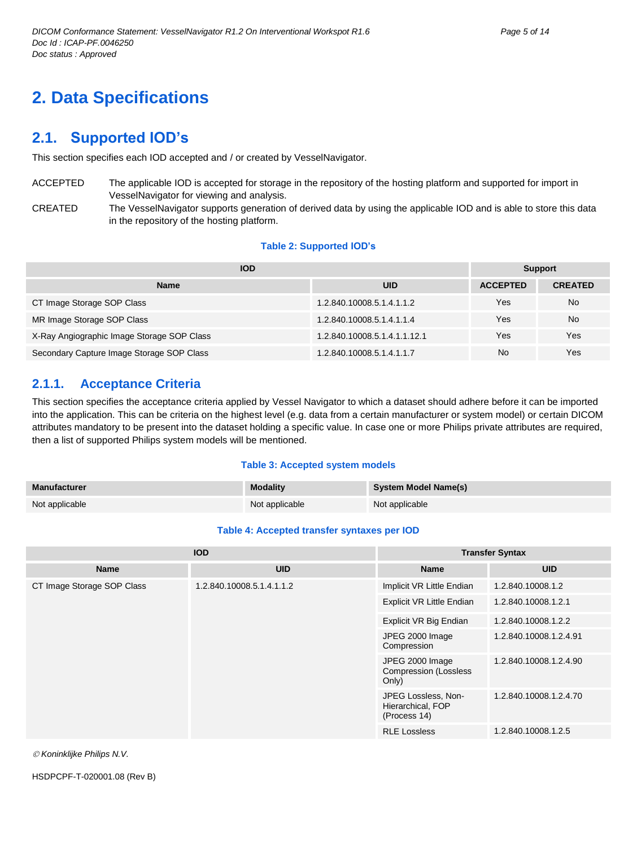# <span id="page-4-0"></span>**2. Data Specifications**

# <span id="page-4-1"></span>**2.1. Supported IOD's**

This section specifies each IOD accepted and / or created by VesselNavigator.

- ACCEPTED The applicable IOD is accepted for storage in the repository of the hosting platform and supported for import in VesselNavigator for viewing and analysis.
- CREATED The VesselNavigator supports generation of derived data by using the applicable IOD and is able to store this data in the repository of the hosting platform.

#### **Table 2: Supported IOD's**

| <b>IOD</b>                                 |                              |                 | Support        |  |
|--------------------------------------------|------------------------------|-----------------|----------------|--|
| <b>Name</b>                                | <b>UID</b>                   | <b>ACCEPTED</b> | <b>CREATED</b> |  |
| CT Image Storage SOP Class                 | 1.2.840.10008.5.1.4.1.1.2    | Yes             | No.            |  |
| MR Image Storage SOP Class                 | 1.2.840.10008.5.1.4.1.1.4    | Yes             | <b>No</b>      |  |
| X-Ray Angiographic Image Storage SOP Class | 1.2.840.10008.5.1.4.1.1.12.1 | Yes             | Yes            |  |
| Secondary Capture Image Storage SOP Class  | 1.2.840.10008.5.1.4.1.1.7    | No              | Yes            |  |

## <span id="page-4-2"></span>**2.1.1. Acceptance Criteria**

This section specifies the acceptance criteria applied by Vessel Navigator to which a dataset should adhere before it can be imported into the application. This can be criteria on the highest level (e.g. data from a certain manufacturer or system model) or certain DICOM attributes mandatory to be present into the dataset holding a specific value. In case one or more Philips private attributes are required, then a list of supported Philips system models will be mentioned.

#### **Table 3: Accepted system models**

| <b>Manufacturer</b> | <b>Modality</b> | <b>System Model Name(s)</b> |
|---------------------|-----------------|-----------------------------|
| Not applicable      | Not applicable  | Not applicable              |

#### **Table 4: Accepted transfer syntaxes per IOD**

| <b>IOD</b>                 |                           | <b>Transfer Syntax</b>                                   |                        |
|----------------------------|---------------------------|----------------------------------------------------------|------------------------|
| <b>Name</b>                | <b>UID</b>                | <b>Name</b>                                              | <b>UID</b>             |
| CT Image Storage SOP Class | 1.2.840.10008.5.1.4.1.1.2 | Implicit VR Little Endian                                | 1.2.840.10008.1.2      |
|                            |                           | Explicit VR Little Endian                                | 1.2.840.10008.1.2.1    |
|                            |                           | Explicit VR Big Endian                                   | 1.2.840.10008.1.2.2    |
|                            |                           | JPEG 2000 Image<br>Compression                           | 1.2.840.10008.1.2.4.91 |
|                            |                           | JPEG 2000 Image<br><b>Compression (Lossless</b><br>Only) | 1.2.840.10008.1.2.4.90 |
|                            |                           | JPEG Lossless, Non-<br>Hierarchical, FOP<br>(Process 14) | 1.2.840.10008.1.2.4.70 |
|                            |                           | <b>RLE Lossless</b>                                      | 1.2.840.10008.1.2.5    |

*Koninklijke Philips N.V.*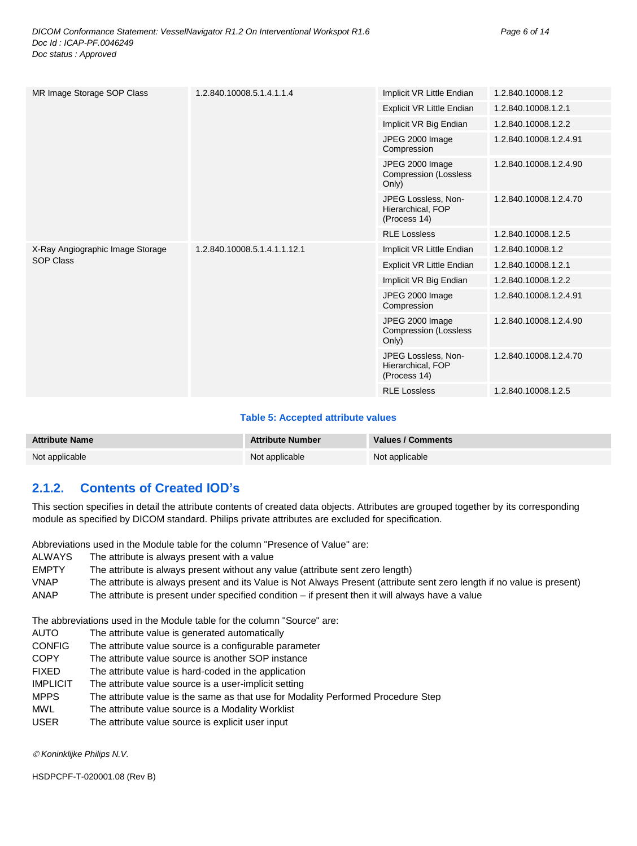| MR Image Storage SOP Class       | 1.2.840.10008.5.1.4.1.1.4    | Implicit VR Little Endian                                | 1.2.840.10008.1.2      |
|----------------------------------|------------------------------|----------------------------------------------------------|------------------------|
|                                  |                              | Explicit VR Little Endian                                | 1.2.840.10008.1.2.1    |
|                                  |                              | Implicit VR Big Endian                                   | 1.2.840.10008.1.2.2    |
|                                  |                              | JPEG 2000 Image<br>Compression                           | 1.2.840.10008.1.2.4.91 |
|                                  |                              | JPEG 2000 Image<br><b>Compression (Lossless</b><br>Only) | 1.2.840.10008.1.2.4.90 |
|                                  |                              | JPEG Lossless, Non-<br>Hierarchical, FOP<br>(Process 14) | 1.2.840.10008.1.2.4.70 |
|                                  |                              | <b>RLE Lossless</b>                                      | 1.2.840.10008.1.2.5    |
| X-Ray Angiographic Image Storage | 1.2.840.10008.5.1.4.1.1.12.1 | Implicit VR Little Endian                                | 1.2.840.10008.1.2      |
| <b>SOP Class</b>                 |                              | Explicit VR Little Endian                                | 1.2.840.10008.1.2.1    |
|                                  |                              | Implicit VR Big Endian                                   | 1.2.840.10008.1.2.2    |
|                                  |                              | JPEG 2000 Image<br>Compression                           | 1.2.840.10008.1.2.4.91 |
|                                  |                              | JPEG 2000 Image<br><b>Compression (Lossless</b><br>Only) | 1.2.840.10008.1.2.4.90 |
|                                  |                              | JPEG Lossless, Non-<br>Hierarchical, FOP<br>(Process 14) | 1.2.840.10008.1.2.4.70 |
|                                  |                              | <b>RLE Lossless</b>                                      | 1.2.840.10008.1.2.5    |

#### **Table 5: Accepted attribute values**

| <b>Attribute Name</b> | <b>Attribute Number</b> | Values / Comments |
|-----------------------|-------------------------|-------------------|
| Not applicable        | Not applicable          | Not applicable    |

## <span id="page-5-0"></span>**2.1.2. Contents of Created IOD's**

This section specifies in detail the attribute contents of created data objects. Attributes are grouped together by its corresponding module as specified by DICOM standard. Philips private attributes are excluded for specification.

Abbreviations used in the Module table for the column "Presence of Value" are:

| <b>ALWAYS</b> | The attribute is always present with a value |  |
|---------------|----------------------------------------------|--|
|---------------|----------------------------------------------|--|

| <b>EMPTY</b> | The attribute is always present without any value (attribute sent zero length)                                          |
|--------------|-------------------------------------------------------------------------------------------------------------------------|
| <b>VNAP</b>  | The attribute is always present and its Value is Not Always Present (attribute sent zero length if no value is present) |
| ANAP         | The attribute is present under specified condition $-$ if present then it will always have a value                      |

The abbreviations used in the Module table for the column "Source" are:

AUTO The attribute value is generated automatically

- CONFIG The attribute value source is a configurable parameter
- COPY The attribute value source is another SOP instance
- FIXED The attribute value is hard-coded in the application
- IMPLICIT The attribute value source is a user-implicit setting
- MPPS The attribute value is the same as that use for Modality Performed Procedure Step
- MWL The attribute value source is a Modality Worklist
- USER The attribute value source is explicit user input

*Koninklijke Philips N.V.*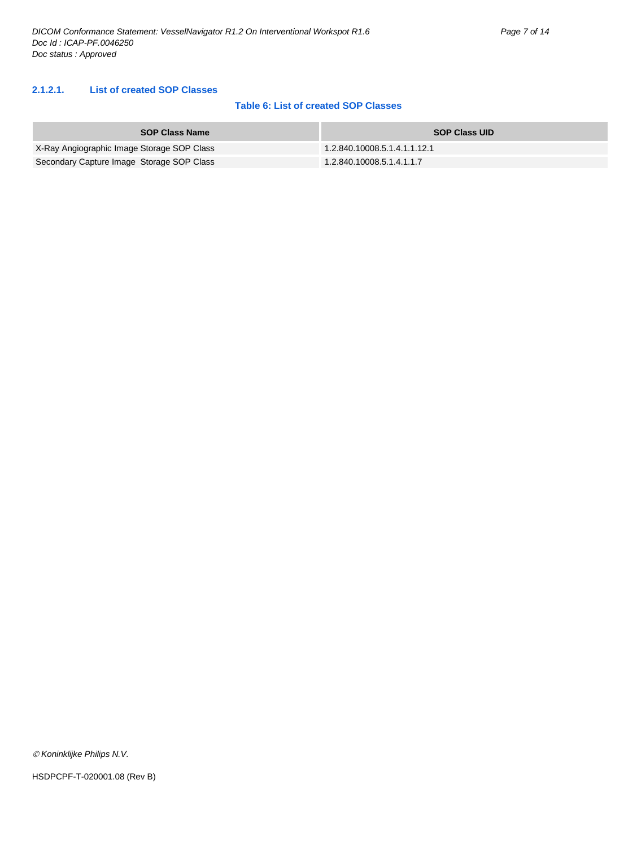#### <span id="page-6-0"></span>**2.1.2.1. List of created SOP Classes**

#### **Table 6: List of created SOP Classes**

| <b>SOP Class Name</b>                      | <b>SOP Class UID</b>         |
|--------------------------------------------|------------------------------|
| X-Ray Angiographic Image Storage SOP Class | 1.2.840.10008.5.1.4.1.1.12.1 |
| Secondary Capture Image Storage SOP Class  | 1.2.840.10008.5.1.4.1.1.7    |

*Koninklijke Philips N.V.*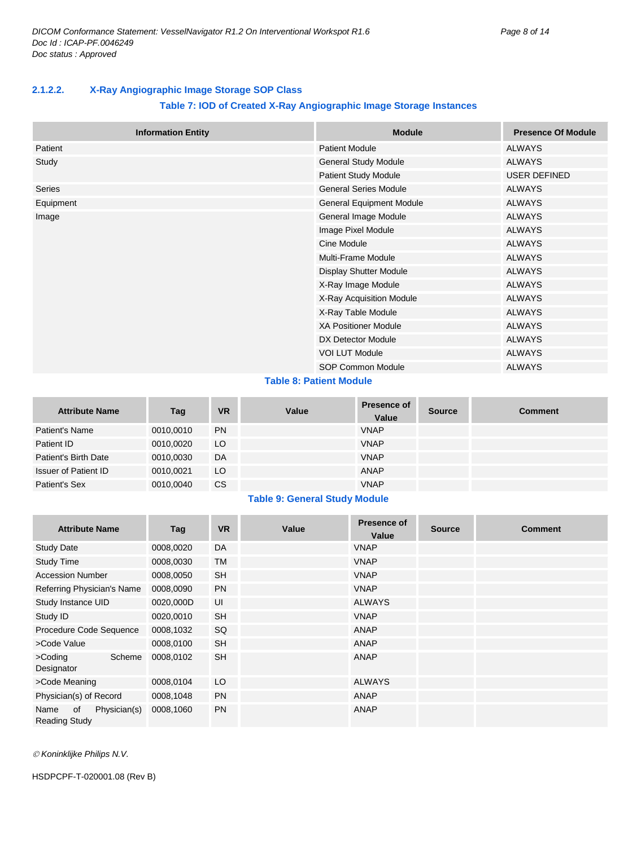#### <span id="page-7-0"></span>**2.1.2.2. X-Ray Angiographic Image Storage SOP Class**

#### **Table 7: IOD of Created X-Ray Angiographic Image Storage Instances**

|           | <b>Information Entity</b> | <b>Module</b>                 | <b>Presence Of Module</b> |
|-----------|---------------------------|-------------------------------|---------------------------|
| Patient   |                           | <b>Patient Module</b>         | ALWAYS                    |
| Study     |                           | General Study Module          | <b>ALWAYS</b>             |
|           |                           | Patient Study Module          | <b>USER DEFINED</b>       |
| Series    |                           | <b>General Series Module</b>  | <b>ALWAYS</b>             |
| Equipment |                           | General Equipment Module      | <b>ALWAYS</b>             |
| Image     |                           | General Image Module          | <b>ALWAYS</b>             |
|           |                           | Image Pixel Module            | <b>ALWAYS</b>             |
|           |                           | Cine Module                   | <b>ALWAYS</b>             |
|           |                           | <b>Multi-Frame Module</b>     | <b>ALWAYS</b>             |
|           |                           | <b>Display Shutter Module</b> | <b>ALWAYS</b>             |
|           |                           | X-Ray Image Module            | <b>ALWAYS</b>             |
|           |                           | X-Ray Acquisition Module      | <b>ALWAYS</b>             |
|           |                           | X-Ray Table Module            | <b>ALWAYS</b>             |
|           |                           | <b>XA Positioner Module</b>   | <b>ALWAYS</b>             |
|           |                           | DX Detector Module            | <b>ALWAYS</b>             |
|           |                           | <b>VOI LUT Module</b>         | <b>ALWAYS</b>             |
|           |                           | <b>SOP Common Module</b>      | <b>ALWAYS</b>             |

#### **Table 8: Patient Module**

| <b>Attribute Name</b> | Tag       | <b>VR</b> | Value | Presence of<br>Value | <b>Source</b> | <b>Comment</b> |
|-----------------------|-----------|-----------|-------|----------------------|---------------|----------------|
| Patient's Name        | 0010,0010 | <b>PN</b> |       | <b>VNAP</b>          |               |                |
| Patient ID            | 0010,0020 | LO        |       | <b>VNAP</b>          |               |                |
| Patient's Birth Date  | 0010,0030 | DA        |       | <b>VNAP</b>          |               |                |
| Issuer of Patient ID  | 0010.0021 | LO        |       | ANAP                 |               |                |
| Patient's Sex         | 0010,0040 | CS        |       | <b>VNAP</b>          |               |                |

#### **Table 9: General Study Module**

| <b>Attribute Name</b>                              | Tag       | <b>VR</b> | Value | <b>Presence of</b><br>Value | <b>Source</b> | <b>Comment</b> |
|----------------------------------------------------|-----------|-----------|-------|-----------------------------|---------------|----------------|
| <b>Study Date</b>                                  | 0008,0020 | DA        |       | <b>VNAP</b>                 |               |                |
| <b>Study Time</b>                                  | 0008,0030 | <b>TM</b> |       | <b>VNAP</b>                 |               |                |
| <b>Accession Number</b>                            | 0008,0050 | <b>SH</b> |       | <b>VNAP</b>                 |               |                |
| Referring Physician's Name                         | 0008,0090 | <b>PN</b> |       | <b>VNAP</b>                 |               |                |
| Study Instance UID                                 | 0020,000D | UI        |       | <b>ALWAYS</b>               |               |                |
| Study ID                                           | 0020,0010 | <b>SH</b> |       | <b>VNAP</b>                 |               |                |
| Procedure Code Sequence                            | 0008,1032 | SQ        |       | <b>ANAP</b>                 |               |                |
| >Code Value                                        | 0008,0100 | <b>SH</b> |       | <b>ANAP</b>                 |               |                |
| Scheme<br>>Coding<br>Designator                    | 0008,0102 | <b>SH</b> |       | <b>ANAP</b>                 |               |                |
| >Code Meaning                                      | 0008,0104 | LO        |       | <b>ALWAYS</b>               |               |                |
| Physician(s) of Record                             | 0008,1048 | <b>PN</b> |       | <b>ANAP</b>                 |               |                |
| Physician(s)<br>Name<br>0f<br><b>Reading Study</b> | 0008,1060 | <b>PN</b> |       | <b>ANAP</b>                 |               |                |

*Koninklijke Philips N.V.*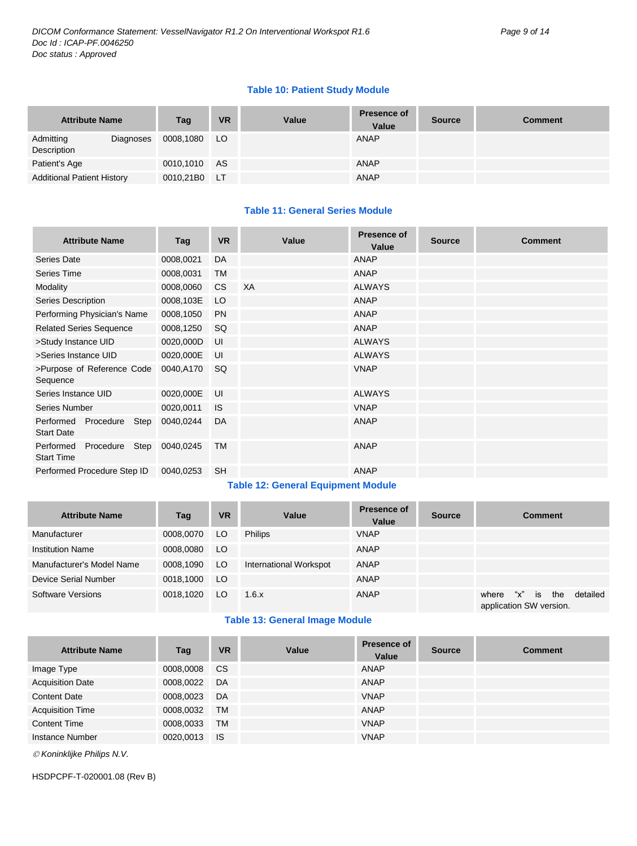#### **Table 10: Patient Study Module**

| <b>Attribute Name</b>                 | Tag       | <b>VR</b> | Value | <b>Presence of</b><br>Value | <b>Source</b> | <b>Comment</b> |
|---------------------------------------|-----------|-----------|-------|-----------------------------|---------------|----------------|
| Admitting<br>Diagnoses<br>Description | 0008,1080 | LO.       |       | ANAP                        |               |                |
| Patient's Age                         | 0010,1010 | AS        |       | ANAP                        |               |                |
| <b>Additional Patient History</b>     | 0010,21B0 | LT.       |       | ANAP                        |               |                |

#### **Table 11: General Series Module**

| <b>Attribute Name</b>                               | Tag       | <b>VR</b> | Value | Presence of<br>Value | <b>Source</b> | <b>Comment</b> |
|-----------------------------------------------------|-----------|-----------|-------|----------------------|---------------|----------------|
| <b>Series Date</b>                                  | 0008,0021 | DA        |       | ANAP                 |               |                |
| Series Time                                         | 0008,0031 | TM        |       | <b>ANAP</b>          |               |                |
| Modality                                            | 0008,0060 | <b>CS</b> | XA    | <b>ALWAYS</b>        |               |                |
| Series Description                                  | 0008,103E | LO        |       | <b>ANAP</b>          |               |                |
| Performing Physician's Name                         | 0008,1050 | <b>PN</b> |       | <b>ANAP</b>          |               |                |
| <b>Related Series Sequence</b>                      | 0008,1250 | SQ        |       | <b>ANAP</b>          |               |                |
| >Study Instance UID                                 | 0020,000D | UI        |       | <b>ALWAYS</b>        |               |                |
| >Series Instance UID                                | 0020,000E | UI        |       | <b>ALWAYS</b>        |               |                |
| >Purpose of Reference Code<br>Sequence              | 0040,A170 | <b>SQ</b> |       | <b>VNAP</b>          |               |                |
| Series Instance UID                                 | 0020,000E | UI        |       | <b>ALWAYS</b>        |               |                |
| Series Number                                       | 0020,0011 | <b>IS</b> |       | <b>VNAP</b>          |               |                |
| Procedure<br>Performed<br>Step<br><b>Start Date</b> | 0040,0244 | DA        |       | <b>ANAP</b>          |               |                |
| Step<br>Performed<br>Procedure<br><b>Start Time</b> | 0040,0245 | <b>TM</b> |       | <b>ANAP</b>          |               |                |
| Performed Procedure Step ID                         | 0040,0253 | <b>SH</b> |       | <b>ANAP</b>          |               |                |

#### **Table 12: General Equipment Module**

| <b>Attribute Name</b>     | Tag       | <b>VR</b> | Value                  | <b>Presence of</b><br>Value | <b>Source</b> | <b>Comment</b>                                                   |
|---------------------------|-----------|-----------|------------------------|-----------------------------|---------------|------------------------------------------------------------------|
| Manufacturer              | 0008,0070 | LO        | <b>Philips</b>         | <b>VNAP</b>                 |               |                                                                  |
| <b>Institution Name</b>   | 0008,0080 | LO        |                        | <b>ANAP</b>                 |               |                                                                  |
| Manufacturer's Model Name | 0008,1090 | LO.       | International Workspot | ANAP                        |               |                                                                  |
| Device Serial Number      | 0018.1000 | LO        |                        | <b>ANAP</b>                 |               |                                                                  |
| Software Versions         | 0018.1020 | LO        | 1.6.x                  | <b>ANAP</b>                 |               | "χ"<br>the<br>detailed<br>where<br>is<br>application SW version. |

#### **Table 13: General Image Module**

| <b>Attribute Name</b>   | Tag       | <b>VR</b> | Value | <b>Presence of</b><br>Value | <b>Source</b> | <b>Comment</b> |
|-------------------------|-----------|-----------|-------|-----------------------------|---------------|----------------|
| Image Type              | 0008,0008 | <b>CS</b> |       | <b>ANAP</b>                 |               |                |
| <b>Acquisition Date</b> | 0008.0022 | DA        |       | <b>ANAP</b>                 |               |                |
| <b>Content Date</b>     | 0008,0023 | DA        |       | <b>VNAP</b>                 |               |                |
| <b>Acquisition Time</b> | 0008,0032 | <b>TM</b> |       | <b>ANAP</b>                 |               |                |
| <b>Content Time</b>     | 0008,0033 | <b>TM</b> |       | <b>VNAP</b>                 |               |                |
| Instance Number         | 0020.0013 | <b>IS</b> |       | <b>VNAP</b>                 |               |                |

*Koninklijke Philips N.V.*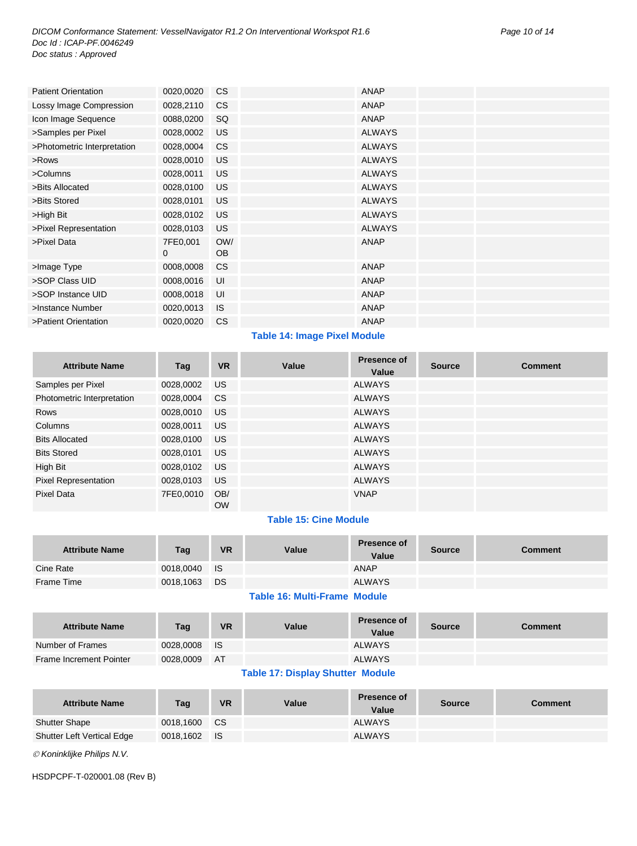| <b>Patient Orientation</b>  | 0020,0020 | <sub>CS</sub> | <b>ANAP</b>   |  |
|-----------------------------|-----------|---------------|---------------|--|
| Lossy Image Compression     | 0028,2110 | <b>CS</b>     | <b>ANAP</b>   |  |
| Icon Image Sequence         | 0088,0200 | SQ            | <b>ANAP</b>   |  |
| >Samples per Pixel          | 0028,0002 | <b>US</b>     | <b>ALWAYS</b> |  |
| >Photometric Interpretation | 0028,0004 | CS.           | <b>ALWAYS</b> |  |
| >Rows                       | 0028,0010 | <b>US</b>     | <b>ALWAYS</b> |  |
| >Columns                    | 0028,0011 | <b>US</b>     | <b>ALWAYS</b> |  |
| >Bits Allocated             | 0028,0100 | <b>US</b>     | <b>ALWAYS</b> |  |
| >Bits Stored                | 0028,0101 | <b>US</b>     | <b>ALWAYS</b> |  |
| >High Bit                   | 0028,0102 | <b>US</b>     | <b>ALWAYS</b> |  |
| >Pixel Representation       | 0028,0103 | <b>US</b>     | <b>ALWAYS</b> |  |
| >Pixel Data                 | 7FE0,001  | OW/           | <b>ANAP</b>   |  |
|                             | 0         | <b>OB</b>     |               |  |
| >Image Type                 | 0008,0008 | CS.           | <b>ANAP</b>   |  |
| >SOP Class UID              | 0008,0016 | UI            | <b>ANAP</b>   |  |
| >SOP Instance UID           | 0008,0018 | UI            | <b>ANAP</b>   |  |
| >Instance Number            | 0020,0013 | <b>IS</b>     | <b>ANAP</b>   |  |
| >Patient Orientation        | 0020,0020 | <b>CS</b>     | <b>ANAP</b>   |  |

#### **Table 14: Image Pixel Module**

| <b>Attribute Name</b>       | Tag          | <b>VR</b>        | Value | <b>Presence of</b><br>Value | <b>Source</b> | <b>Comment</b> |
|-----------------------------|--------------|------------------|-------|-----------------------------|---------------|----------------|
| Samples per Pixel           | 0028,0002    | <b>US</b>        |       | <b>ALWAYS</b>               |               |                |
| Photometric Interpretation  | 0028,0004    | <b>CS</b>        |       | <b>ALWAYS</b>               |               |                |
| Rows                        | 0028,0010    | US.              |       | <b>ALWAYS</b>               |               |                |
| Columns                     | 0028,0011    | US.              |       | <b>ALWAYS</b>               |               |                |
| <b>Bits Allocated</b>       | 0028,0100 US |                  |       | <b>ALWAYS</b>               |               |                |
| <b>Bits Stored</b>          | 0028,0101    | US.              |       | ALWAYS                      |               |                |
| High Bit                    | 0028,0102    | US.              |       | <b>ALWAYS</b>               |               |                |
| <b>Pixel Representation</b> | 0028,0103    | US.              |       | ALWAYS                      |               |                |
| Pixel Data                  | 7FE0.0010    | OB/<br><b>OW</b> |       | <b>VNAP</b>                 |               |                |

## **Table 15: Cine Module**

| <b>Attribute Name</b> | Tag          | <b>VR</b> | Value | <b>Presence of</b><br>Value | <b>Source</b> | Comment |
|-----------------------|--------------|-----------|-------|-----------------------------|---------------|---------|
| Cine Rate             | 0018,0040 IS |           |       | ANAP                        |               |         |
| Frame Time            | 0018,1063 DS |           |       | <b>ALWAYS</b>               |               |         |
|                       |              |           |       |                             |               |         |

## **Table 16: Multi-Frame Module**

| <b>Attribute Name</b>          | Tag          | <b>VR</b> | Value | <b>Presence of</b><br>Value | <b>Source</b> | Comment |
|--------------------------------|--------------|-----------|-------|-----------------------------|---------------|---------|
| Number of Frames               | 0028,0008 IS |           |       | <b>ALWAYS</b>               |               |         |
| <b>Frame Increment Pointer</b> | 0028.0009    | <b>AT</b> |       | <b>ALWAYS</b>               |               |         |
|                                |              |           |       |                             |               |         |

#### **Table 17: Display Shutter Module**

| <b>Attribute Name</b>             | Tag       | <b>VR</b> | Value | <b>Presence of</b><br>Value | <b>Source</b> | Comment |
|-----------------------------------|-----------|-----------|-------|-----------------------------|---------------|---------|
| <b>Shutter Shape</b>              | 0018.1600 | CS C      |       | <b>ALWAYS</b>               |               |         |
| <b>Shutter Left Vertical Edge</b> | 0018,1602 | <b>IS</b> |       | <b>ALWAYS</b>               |               |         |

*Koninklijke Philips N.V.*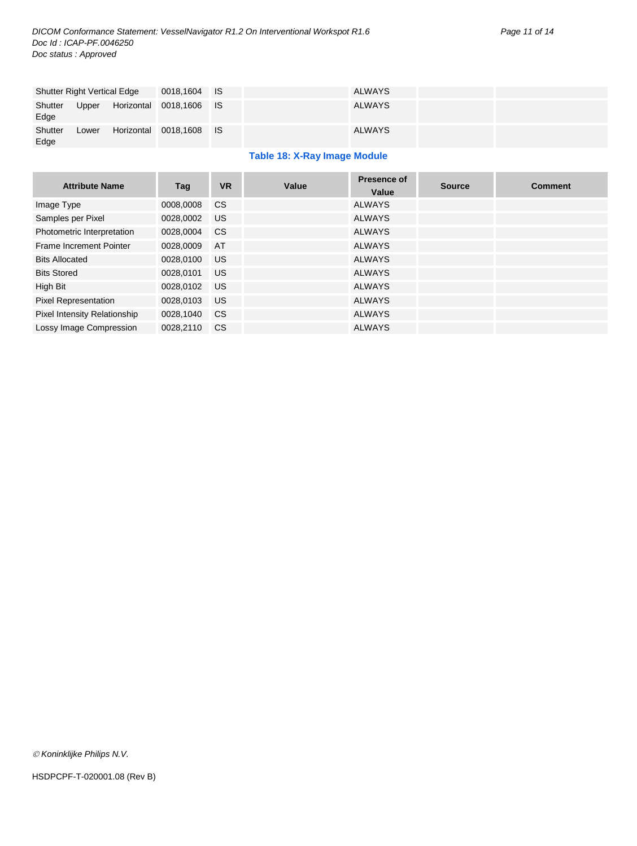| <b>Shutter Right Vertical Edge</b> |       | 0018,1604 IS            |  | <b>ALWAYS</b> |  |
|------------------------------------|-------|-------------------------|--|---------------|--|
| Shutter<br>Edge                    | Upper | Horizontal 0018,1606 IS |  | <b>ALWAYS</b> |  |
| Shutter<br>Edge                    | Lower | Horizontal 0018,1608 IS |  | <b>ALWAYS</b> |  |

#### **Table 18: X-Ray Image Module**

| <b>Attribute Name</b>        | Tag          | <b>VR</b> | Value | <b>Presence of</b><br>Value | <b>Source</b> | <b>Comment</b> |
|------------------------------|--------------|-----------|-------|-----------------------------|---------------|----------------|
| Image Type                   | 0008,0008    | <b>CS</b> |       | <b>ALWAYS</b>               |               |                |
| Samples per Pixel            | 0028,0002    | US.       |       | <b>ALWAYS</b>               |               |                |
| Photometric Interpretation   | 0028,0004 CS |           |       | <b>ALWAYS</b>               |               |                |
| Frame Increment Pointer      | 0028,0009    | <b>AT</b> |       | <b>ALWAYS</b>               |               |                |
| <b>Bits Allocated</b>        | 0028.0100    | <b>US</b> |       | ALWAYS                      |               |                |
| <b>Bits Stored</b>           | 0028,0101    | US.       |       | <b>ALWAYS</b>               |               |                |
| High Bit                     | 0028,0102    | US.       |       | <b>ALWAYS</b>               |               |                |
| Pixel Representation         | 0028,0103    | <b>US</b> |       | <b>ALWAYS</b>               |               |                |
| Pixel Intensity Relationship | 0028,1040    | <b>CS</b> |       | <b>ALWAYS</b>               |               |                |
| Lossy Image Compression      | 0028.2110    | <b>CS</b> |       | <b>ALWAYS</b>               |               |                |

*Koninklijke Philips N.V.*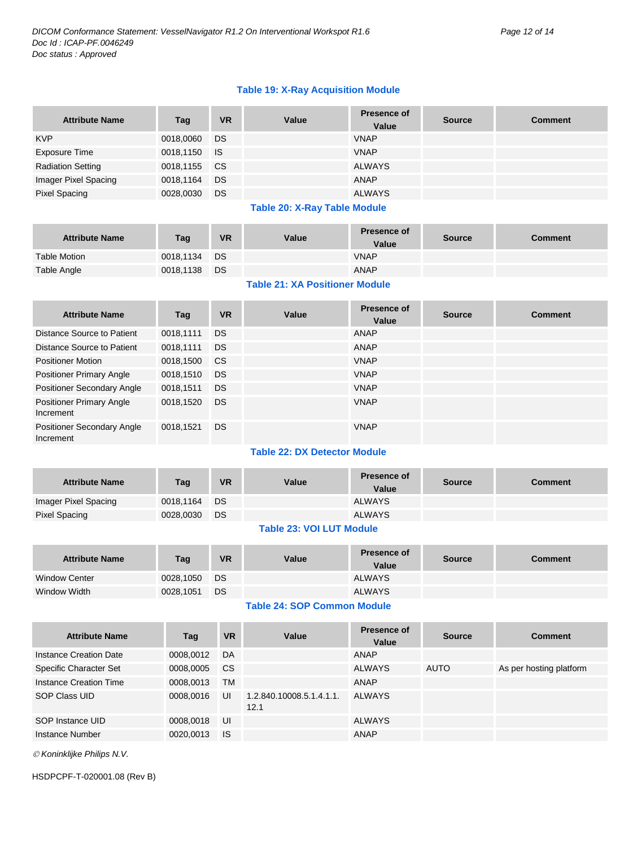#### **Table 19: X-Ray Acquisition Module**

| <b>Attribute Name</b>    | Tag          | <b>VR</b> | Value | <b>Presence of</b><br>Value | <b>Source</b> | <b>Comment</b> |
|--------------------------|--------------|-----------|-------|-----------------------------|---------------|----------------|
| <b>KVP</b>               | 0018,0060 DS |           |       | <b>VNAP</b>                 |               |                |
| Exposure Time            | 0018,1150 IS |           |       | <b>VNAP</b>                 |               |                |
| <b>Radiation Setting</b> | 0018,1155 CS |           |       | <b>ALWAYS</b>               |               |                |
| Imager Pixel Spacing     | 0018,1164 DS |           |       | ANAP                        |               |                |
| <b>Pixel Spacing</b>     | 0028,0030    | DS        |       | <b>ALWAYS</b>               |               |                |

#### **Table 20: X-Ray Table Module**

| <b>Attribute Name</b> | Tag          | <b>VR</b> | Value | <b>Presence of</b><br>Value | <b>Source</b> | Comment |
|-----------------------|--------------|-----------|-------|-----------------------------|---------------|---------|
| <b>Table Motion</b>   | 0018,1134 DS |           |       | <b>VNAP</b>                 |               |         |
| <b>Table Angle</b>    | 0018,1138 DS |           |       | <b>ANAP</b>                 |               |         |
|                       |              |           |       |                             |               |         |

#### **Table 21: XA Positioner Module**

| <b>Attribute Name</b>                        | Tag       | <b>VR</b> | Value | <b>Presence of</b><br>Value | <b>Source</b> | <b>Comment</b> |
|----------------------------------------------|-----------|-----------|-------|-----------------------------|---------------|----------------|
| Distance Source to Patient                   | 0018,1111 | <b>DS</b> |       | ANAP                        |               |                |
| Distance Source to Patient                   | 0018,1111 | <b>DS</b> |       | ANAP                        |               |                |
| <b>Positioner Motion</b>                     | 0018,1500 | CS.       |       | <b>VNAP</b>                 |               |                |
| <b>Positioner Primary Angle</b>              | 0018,1510 | <b>DS</b> |       | <b>VNAP</b>                 |               |                |
| Positioner Secondary Angle                   | 0018,1511 | <b>DS</b> |       | <b>VNAP</b>                 |               |                |
| <b>Positioner Primary Angle</b><br>Increment | 0018,1520 | <b>DS</b> |       | <b>VNAP</b>                 |               |                |
| Positioner Secondary Angle<br>Increment      | 0018,1521 | <b>DS</b> |       | <b>VNAP</b>                 |               |                |

## **Table 22: DX Detector Module**

| <b>Attribute Name</b> | Tag          | <b>VR</b> | <b>Value</b> | <b>Presence of</b><br>Value | <b>Source</b> | Comment |
|-----------------------|--------------|-----------|--------------|-----------------------------|---------------|---------|
| Imager Pixel Spacing  | 0018,1164 DS |           |              | <b>ALWAYS</b>               |               |         |
| <b>Pixel Spacing</b>  | 0028.0030    | <b>DS</b> |              | <b>ALWAYS</b>               |               |         |

#### **Table 23: VOI LUT Module**

| <b>Attribute Name</b> | Tag          | <b>VR</b> | Value | <b>Presence of</b><br>Value | <b>Source</b> | Comment |
|-----------------------|--------------|-----------|-------|-----------------------------|---------------|---------|
| <b>Window Center</b>  | 0028,1050 DS |           |       | <b>ALWAYS</b>               |               |         |
| Window Width          | 0028,1051    | <b>DS</b> |       | <b>ALWAYS</b>               |               |         |

## **Table 24: SOP Common Module**

| <b>Attribute Name</b>  | Tag       | <b>VR</b> | Value                            | <b>Presence of</b><br>Value | <b>Source</b> | <b>Comment</b>          |
|------------------------|-----------|-----------|----------------------------------|-----------------------------|---------------|-------------------------|
| Instance Creation Date | 0008,0012 | DA        |                                  | ANAP                        |               |                         |
| Specific Character Set | 0008,0005 | <b>CS</b> |                                  | <b>ALWAYS</b>               | AUTO          | As per hosting platform |
| Instance Creation Time | 0008,0013 | <b>TM</b> |                                  | ANAP                        |               |                         |
| SOP Class UID          | 0008,0016 | UI        | 1.2.840.10008.5.1.4.1.1.<br>12.1 | <b>ALWAYS</b>               |               |                         |
| SOP Instance UID       | 0008,0018 | UI        |                                  | <b>ALWAYS</b>               |               |                         |
| Instance Number        | 0020,0013 | - IS      |                                  | ANAP                        |               |                         |

*Koninklijke Philips N.V.*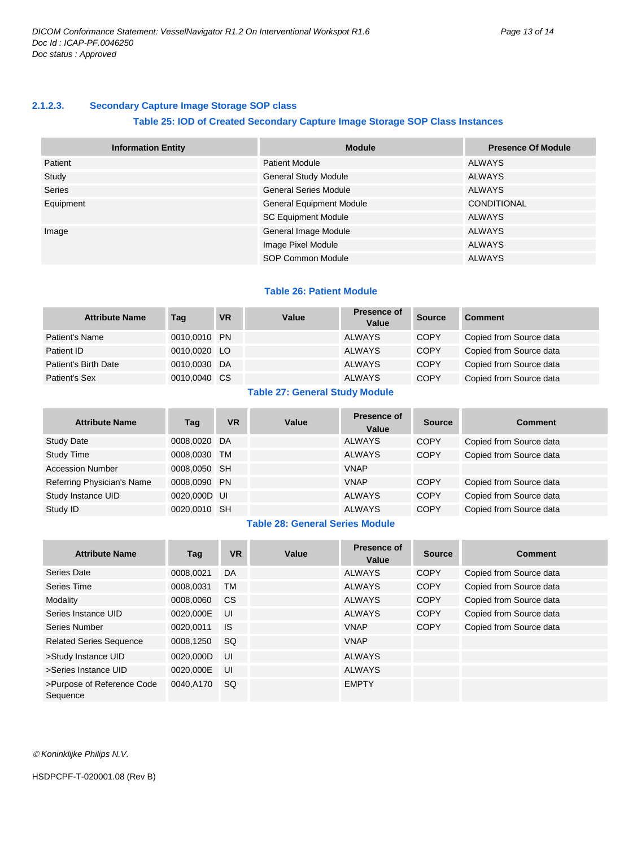#### <span id="page-12-0"></span>**2.1.2.3. Secondary Capture Image Storage SOP class**

#### **Table 25: IOD of Created Secondary Capture Image Storage SOP Class Instances**

| <b>Information Entity</b> | <b>Module</b>                   | <b>Presence Of Module</b> |
|---------------------------|---------------------------------|---------------------------|
| Patient                   | <b>Patient Module</b>           | ALWAYS                    |
| Study                     | <b>General Study Module</b>     | ALWAYS                    |
| <b>Series</b>             | <b>General Series Module</b>    | ALWAYS                    |
| Equipment                 | <b>General Equipment Module</b> | <b>CONDITIONAL</b>        |
|                           | <b>SC Equipment Module</b>      | ALWAYS                    |
| Image                     | General Image Module            | ALWAYS                    |
|                           | Image Pixel Module              | <b>ALWAYS</b>             |
|                           | SOP Common Module               | <b>ALWAYS</b>             |

#### **Table 26: Patient Module**

| <b>Attribute Name</b> | Tag          | <b>VR</b> | Value | Presence of<br>Value | <b>Source</b> | Comment                 |
|-----------------------|--------------|-----------|-------|----------------------|---------------|-------------------------|
| Patient's Name        | 0010,0010 PN |           |       | <b>ALWAYS</b>        | <b>COPY</b>   | Copied from Source data |
| Patient ID            | 0010,0020 LO |           |       | <b>ALWAYS</b>        | <b>COPY</b>   | Copied from Source data |
| Patient's Birth Date  | 0010,0030 DA |           |       | <b>ALWAYS</b>        | <b>COPY</b>   | Copied from Source data |
| Patient's Sex         | 0010,0040 CS |           |       | <b>ALWAYS</b>        | <b>COPY</b>   | Copied from Source data |

#### **Table 27: General Study Module**

| <b>Attribute Name</b>      | Tag          | <b>VR</b> | Value | <b>Presence of</b><br>Value | <b>Source</b> | <b>Comment</b>          |
|----------------------------|--------------|-----------|-------|-----------------------------|---------------|-------------------------|
| <b>Study Date</b>          | 0008,0020 DA |           |       | <b>ALWAYS</b>               | <b>COPY</b>   | Copied from Source data |
| <b>Study Time</b>          | 0008,0030 TM |           |       | <b>ALWAYS</b>               | <b>COPY</b>   | Copied from Source data |
| <b>Accession Number</b>    | 0008,0050 SH |           |       | <b>VNAP</b>                 |               |                         |
| Referring Physician's Name | 0008.0090 PN |           |       | <b>VNAP</b>                 | <b>COPY</b>   | Copied from Source data |
| Study Instance UID         | 0020,000D UI |           |       | <b>ALWAYS</b>               | <b>COPY</b>   | Copied from Source data |
| Study ID                   | 0020,0010 SH |           |       | <b>ALWAYS</b>               | <b>COPY</b>   | Copied from Source data |

#### **Table 28: General Series Module**

| <b>Attribute Name</b>                  | Tag       | <b>VR</b> | Value | Presence of<br>Value | <b>Source</b> | <b>Comment</b>          |
|----------------------------------------|-----------|-----------|-------|----------------------|---------------|-------------------------|
| Series Date                            | 0008.0021 | DA        |       | <b>ALWAYS</b>        | <b>COPY</b>   | Copied from Source data |
| Series Time                            | 0008.0031 | <b>TM</b> |       | <b>ALWAYS</b>        | <b>COPY</b>   | Copied from Source data |
| Modality                               | 0008,0060 | <b>CS</b> |       | <b>ALWAYS</b>        | <b>COPY</b>   | Copied from Source data |
| Series Instance UID                    | 0020.000E | UI        |       | <b>ALWAYS</b>        | <b>COPY</b>   | Copied from Source data |
| Series Number                          | 0020.0011 | <b>IS</b> |       | <b>VNAP</b>          | <b>COPY</b>   | Copied from Source data |
| <b>Related Series Sequence</b>         | 0008.1250 | <b>SQ</b> |       | <b>VNAP</b>          |               |                         |
| >Study Instance UID                    | 0020,000D | UI        |       | <b>ALWAYS</b>        |               |                         |
| >Series Instance UID                   | 0020.000E | UI        |       | <b>ALWAYS</b>        |               |                         |
| >Purpose of Reference Code<br>Sequence | 0040.A170 | <b>SQ</b> |       | <b>EMPTY</b>         |               |                         |

*Koninklijke Philips N.V.*